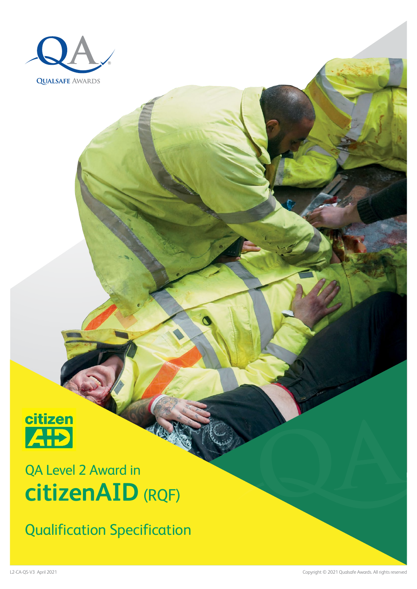



## QA Level 2 Award in **citizenAID** (RQF)

Qualification Specification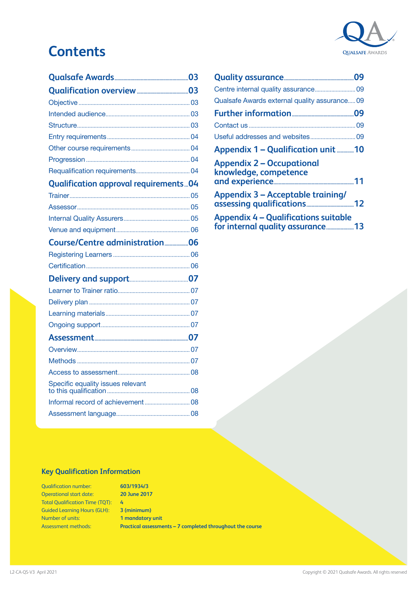# **QUALSAFE AWARDS**

### **Contents**

| <b>Qualification approval requirements 04</b> |  |
|-----------------------------------------------|--|
|                                               |  |
|                                               |  |
|                                               |  |
|                                               |  |
| Course/Centre administration06                |  |
|                                               |  |
|                                               |  |
|                                               |  |
|                                               |  |
|                                               |  |
|                                               |  |
|                                               |  |
|                                               |  |
|                                               |  |
|                                               |  |
|                                               |  |
|                                               |  |
|                                               |  |
|                                               |  |

| Qualsafe Awards external quality assurance 09                                   |  |
|---------------------------------------------------------------------------------|--|
|                                                                                 |  |
|                                                                                 |  |
|                                                                                 |  |
| Appendix 1 - Qualification unit 10                                              |  |
| <b>Appendix 2 - Occupational</b><br>knowledge, competence                       |  |
| <b>Appendix 3 - Acceptable training/</b>                                        |  |
| <b>Appendix 4 - Qualifications suitable</b><br>for internal quality assurance13 |  |

#### **Key Qualification Information**

Qualification number: Operational start date: Total Qualification Time (TQT): Guided Learning Hours (GLH): Number of units: Assessment methods:

**603/1934/3 20 June 2017 4 3 (minimum) 1 mandatory unit Practical assessments – 7 completed throughout the course**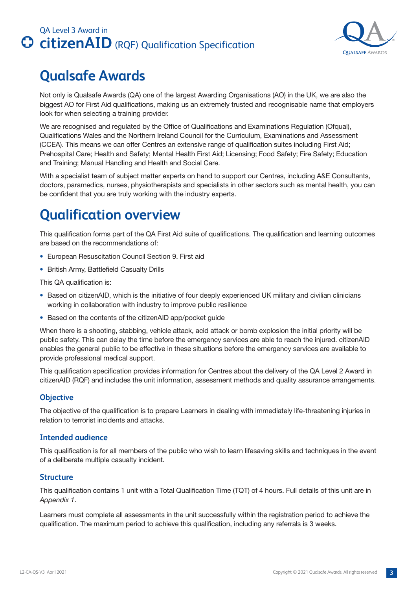

### <span id="page-2-0"></span>**Qualsafe Awards**

Not only is Qualsafe Awards (QA) one of the largest Awarding Organisations (AO) in the UK, we are also the biggest AO for First Aid qualifications, making us an extremely trusted and recognisable name that employers look for when selecting a training provider.

We are recognised and regulated by the Office of Qualifications and Examinations Regulation (Ofqual), Qualifications Wales and the Northern Ireland Council for the Curriculum, Examinations and Assessment (CCEA). This means we can offer Centres an extensive range of qualification suites including First Aid; Prehospital Care; Health and Safety; Mental Health First Aid; Licensing; Food Safety; Fire Safety; Education and Training; Manual Handling and Health and Social Care.

With a specialist team of subject matter experts on hand to support our Centres, including A&E Consultants, doctors, paramedics, nurses, physiotherapists and specialists in other sectors such as mental health, you can be confident that you are truly working with the industry experts.

### **Qualification overview**

This qualification forms part of the QA First Aid suite of qualifications. The qualification and learning outcomes are based on the recommendations of:

- European Resuscitation Council Section 9. First aid
- British Army, Battlefield Casualty Drills

This QA qualification is:

- Based on citizenAID, which is the initiative of four deeply experienced UK military and civilian clinicians working in collaboration with industry to improve public resilience
- Based on the contents of the citizenAID app/pocket guide

When there is a shooting, stabbing, vehicle attack, acid attack or bomb explosion the initial priority will be public safety. This can delay the time before the emergency services are able to reach the injured. citizenAID enables the general public to be effective in these situations before the emergency services are available to provide professional medical support.

This qualification specification provides information for Centres about the delivery of the QA Level 2 Award in citizenAID (RQF) and includes the unit information, assessment methods and quality assurance arrangements.

#### **Objective**

The objective of the qualification is to prepare Learners in dealing with immediately life-threatening injuries in relation to terrorist incidents and attacks.

#### **Intended audience**

This qualification is for all members of the public who wish to learn lifesaving skills and techniques in the event of a deliberate multiple casualty incident.

#### **Structure**

This qualification contains 1 unit with a Total Qualification Time (TQT) of 4 hours. Full details of this unit are in *Appendix 1*.

Learners must complete all assessments in the unit successfully within the registration period to achieve the qualification. The maximum period to achieve this qualification, including any referrals is 3 weeks.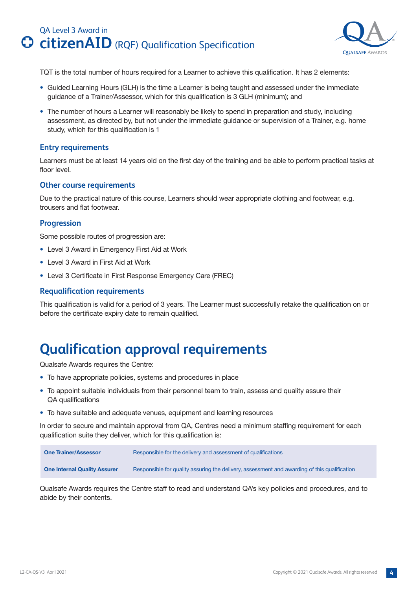

<span id="page-3-0"></span>TQT is the total number of hours required for a Learner to achieve this qualification. It has 2 elements:

- Guided Learning Hours (GLH) is the time a Learner is being taught and assessed under the immediate guidance of a Trainer/Assessor, which for this qualification is 3 GLH (minimum); and
- The number of hours a Learner will reasonably be likely to spend in preparation and study, including assessment, as directed by, but not under the immediate guidance or supervision of a Trainer, e.g. home study, which for this qualification is 1

#### **Entry requirements**

Learners must be at least 14 years old on the first day of the training and be able to perform practical tasks at floor level.

#### **Other course requirements**

Due to the practical nature of this course, Learners should wear appropriate clothing and footwear, e.g. trousers and flat footwear.

#### **Progression**

Some possible routes of progression are:

- Level 3 Award in Emergency First Aid at Work
- Level 3 Award in First Aid at Work
- Level 3 Certificate in First Response Emergency Care (FREC)

#### **Requalification requirements**

This qualification is valid for a period of 3 years. The Learner must successfully retake the qualification on or before the certificate expiry date to remain qualified.

### **Qualification approval requirements**

Qualsafe Awards requires the Centre:

- To have appropriate policies, systems and procedures in place
- To appoint suitable individuals from their personnel team to train, assess and quality assure their QA qualifications
- To have suitable and adequate venues, equipment and learning resources

In order to secure and maintain approval from QA, Centres need a minimum staffing requirement for each qualification suite they deliver, which for this qualification is:

| <b>One Trainer/Assessor</b>         | Responsible for the delivery and assessment of qualifications                                |  |
|-------------------------------------|----------------------------------------------------------------------------------------------|--|
| <b>One Internal Quality Assurer</b> | Responsible for quality assuring the delivery, assessment and awarding of this qualification |  |

Qualsafe Awards requires the Centre staff to read and understand QA's key policies and procedures, and to abide by their contents.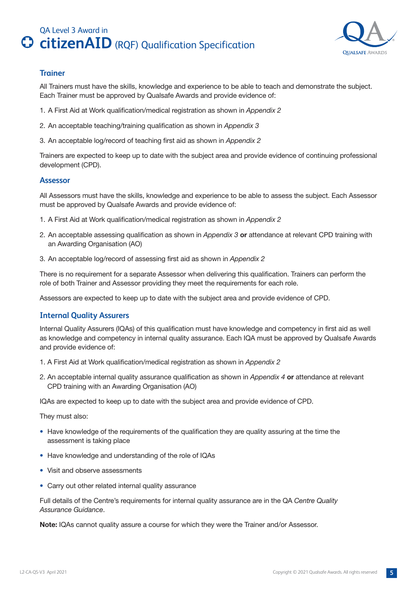

#### <span id="page-4-0"></span>**Trainer**

All Trainers must have the skills, knowledge and experience to be able to teach and demonstrate the subject. Each Trainer must be approved by Qualsafe Awards and provide evidence of:

- 1. A First Aid at Work qualification/medical registration as shown in *Appendix 2*
- 2. An acceptable teaching/training qualification as shown in *Appendix 3*
- 3. An acceptable log/record of teaching first aid as shown in *Appendix 2*

Trainers are expected to keep up to date with the subject area and provide evidence of continuing professional development (CPD).

#### **Assessor**

All Assessors must have the skills, knowledge and experience to be able to assess the subject. Each Assessor must be approved by Qualsafe Awards and provide evidence of:

- 1. A First Aid at Work qualification/medical registration as shown in *Appendix 2*
- 2. An acceptable assessing qualification as shown in *Appendix 3* **or** attendance at relevant CPD training with an Awarding Organisation (AO)
- 3. An acceptable log/record of assessing first aid as shown in *Appendix 2*

There is no requirement for a separate Assessor when delivering this qualification. Trainers can perform the role of both Trainer and Assessor providing they meet the requirements for each role.

Assessors are expected to keep up to date with the subject area and provide evidence of CPD.

#### **Internal Quality Assurers**

Internal Quality Assurers (IQAs) of this qualification must have knowledge and competency in first aid as well as knowledge and competency in internal quality assurance. Each IQA must be approved by Qualsafe Awards and provide evidence of:

- 1. A First Aid at Work qualification/medical registration as shown in *Appendix 2*
- 2. An acceptable internal quality assurance qualification as shown in *Appendix 4* **or** attendance at relevant CPD training with an Awarding Organisation (AO)

IQAs are expected to keep up to date with the subject area and provide evidence of CPD.

They must also:

- Have knowledge of the requirements of the qualification they are quality assuring at the time the assessment is taking place
- Have knowledge and understanding of the role of IQAs
- Visit and observe assessments
- Carry out other related internal quality assurance

Full details of the Centre's requirements for internal quality assurance are in the QA *Centre Quality Assurance Guidance*.

**Note:** IQAs cannot quality assure a course for which they were the Trainer and/or Assessor.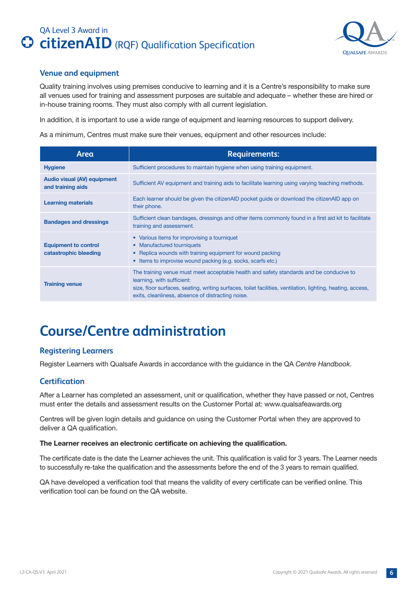

#### <span id="page-5-0"></span>**Venue and equipment**

Quality training involves using premises conducive to learning and it is a Centre's responsibility to make sure all venues used for training and assessment purposes are suitable and adequate – whether these are hired or in-house training rooms. They must also comply with all current legislation.

In addition, it is important to use a wide range of equipment and learning resources to support delivery.

As a minimum, Centres must make sure their venues, equipment and other resources include:

| Area                                                    | <b>Requirements:</b>                                                                                                                                                                                                                                                                      |
|---------------------------------------------------------|-------------------------------------------------------------------------------------------------------------------------------------------------------------------------------------------------------------------------------------------------------------------------------------------|
| <b>Hygiene</b>                                          | Sufficient procedures to maintain hygiene when using training equipment.                                                                                                                                                                                                                  |
| <b>Audio visual (AV) equipment</b><br>and training aids | Sufficient AV equipment and training aids to facilitate learning using varying teaching methods.                                                                                                                                                                                          |
| <b>Learning materials</b>                               | Each learner should be given the citizenAID pocket guide or download the citizenAID app on<br>their phone.                                                                                                                                                                                |
| <b>Bandages and dressings</b>                           | Sufficient clean bandages, dressings and other items commonly found in a first aid kit to facilitate<br>training and assessment.                                                                                                                                                          |
| <b>Equipment to control</b><br>catastrophic bleeding    | • Various items for improvising a tourniquet<br>• Manufactured tourniquets<br>• Replica wounds with training equipment for wound packing<br>• Items to improvise wound packing (e.g. socks, scarfs etc.)                                                                                  |
| <b>Training venue</b>                                   | The training venue must meet acceptable health and safety standards and be conducive to<br>learning, with sufficient:<br>size, floor surfaces, seating, writing surfaces, toilet facilities, ventilation, lighting, heating, access,<br>exits, cleanliness, absence of distracting noise. |

### **Course/Centre administration**

#### **Registering Learners**

Register Learners with Qualsafe Awards in accordance with the guidance in the QA *Centre Handbook*.

#### **Certification**

After a Learner has completed an assessment, unit or qualification, whether they have passed or not, Centres must enter the details and assessment results on the Customer Portal at: www.qualsafeawards.org

Centres will be given login details and guidance on using the Customer Portal when they are approved to deliver a QA qualification.

#### **The Learner receives an electronic certificate on achieving the qualification.**

The certificate date is the date the Learner achieves the unit. This qualification is valid for 3 years. The Learner needs to successfully re-take the qualification and the assessments before the end of the 3 years to remain qualified.

QA have developed a verification tool that means the validity of every certificate can be verified online. This verification tool can be found on the QA website.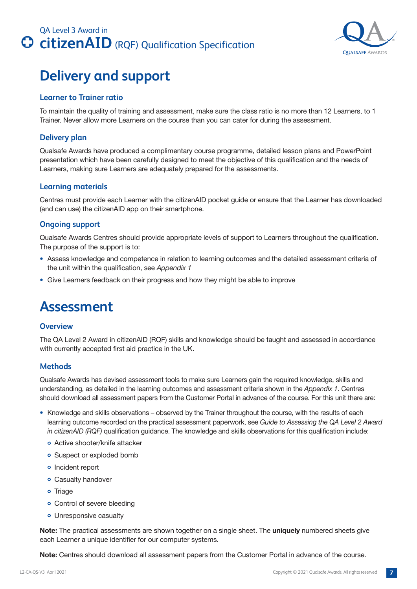

### <span id="page-6-0"></span>**Delivery and support**

#### **Learner to Trainer ratio**

To maintain the quality of training and assessment, make sure the class ratio is no more than 12 Learners, to 1 Trainer. Never allow more Learners on the course than you can cater for during the assessment.

#### **Delivery plan**

Qualsafe Awards have produced a complimentary course programme, detailed lesson plans and PowerPoint presentation which have been carefully designed to meet the objective of this qualification and the needs of Learners, making sure Learners are adequately prepared for the assessments.

#### **Learning materials**

Centres must provide each Learner with the citizenAID pocket guide or ensure that the Learner has downloaded (and can use) the citizenAID app on their smartphone.

#### **Ongoing support**

Qualsafe Awards Centres should provide appropriate levels of support to Learners throughout the qualification. The purpose of the support is to:

- Assess knowledge and competence in relation to learning outcomes and the detailed assessment criteria of the unit within the qualification, see *Appendix 1*
- Give Learners feedback on their progress and how they might be able to improve

### **Assessment**

#### **Overview**

The QA Level 2 Award in citizenAID (RQF) skills and knowledge should be taught and assessed in accordance with currently accepted first aid practice in the UK.

#### **Methods**

Qualsafe Awards has devised assessment tools to make sure Learners gain the required knowledge, skills and understanding, as detailed in the learning outcomes and assessment criteria shown in the *Appendix 1*. Centres should download all assessment papers from the Customer Portal in advance of the course. For this unit there are:

- Knowledge and skills observations observed by the Trainer throughout the course, with the results of each learning outcome recorded on the practical assessment paperwork, see *Guide to Assessing the QA Level 2 Award in citizenAID (RQF)* qualification guidance. The knowledge and skills observations for this qualification include:
	- Active shooter/knife attacker
	- Suspect or exploded bomb
	- Incident report
	- Casualty handover
	- Triage
	- Control of severe bleeding
	- Unresponsive casualty

**Note:** The practical assessments are shown together on a single sheet. The **uniquely** numbered sheets give each Learner a unique identifier for our computer systems.

**Note:** Centres should download all assessment papers from the Customer Portal in advance of the course.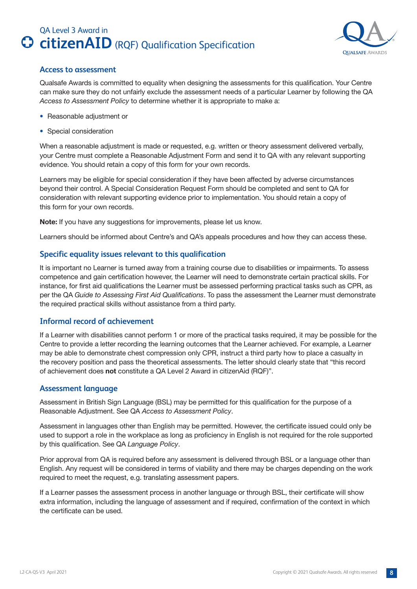

#### <span id="page-7-0"></span>**Access to assessment**

Qualsafe Awards is committed to equality when designing the assessments for this qualification. Your Centre can make sure they do not unfairly exclude the assessment needs of a particular Learner by following the QA *Access to Assessment Policy* to determine whether it is appropriate to make a:

- Reasonable adjustment or
- Special consideration

When a reasonable adjustment is made or requested, e.g. written or theory assessment delivered verbally, your Centre must complete a Reasonable Adjustment Form and send it to QA with any relevant supporting evidence. You should retain a copy of this form for your own records.

Learners may be eligible for special consideration if they have been affected by adverse circumstances beyond their control. A Special Consideration Request Form should be completed and sent to QA for consideration with relevant supporting evidence prior to implementation. You should retain a copy of this form for your own records.

**Note:** If you have any suggestions for improvements, please let us know.

Learners should be informed about Centre's and QA's appeals procedures and how they can access these.

#### **Specific equality issues relevant to this qualification**

It is important no Learner is turned away from a training course due to disabilities or impairments. To assess competence and gain certification however, the Learner will need to demonstrate certain practical skills. For instance, for first aid qualifications the Learner must be assessed performing practical tasks such as CPR, as per the QA *Guide to Assessing First Aid Qualifications*. To pass the assessment the Learner must demonstrate the required practical skills without assistance from a third party.

#### **Informal record of achievement**

If a Learner with disabilities cannot perform 1 or more of the practical tasks required, it may be possible for the Centre to provide a letter recording the learning outcomes that the Learner achieved. For example, a Learner may be able to demonstrate chest compression only CPR, instruct a third party how to place a casualty in the recovery position and pass the theoretical assessments. The letter should clearly state that "this record of achievement does **not** constitute a QA Level 2 Award in citizenAid (RQF)".

#### **Assessment language**

Assessment in British Sign Language (BSL) may be permitted for this qualification for the purpose of a Reasonable Adjustment. See QA *Access to Assessment Policy*.

Assessment in languages other than English may be permitted. However, the certificate issued could only be used to support a role in the workplace as long as proficiency in English is not required for the role supported by this qualification. See QA *Language Policy*.

Prior approval from QA is required before any assessment is delivered through BSL or a language other than English. Any request will be considered in terms of viability and there may be charges depending on the work required to meet the request, e.g. translating assessment papers.

If a Learner passes the assessment process in another language or through BSL, their certificate will show extra information, including the language of assessment and if required, confirmation of the context in which the certificate can be used.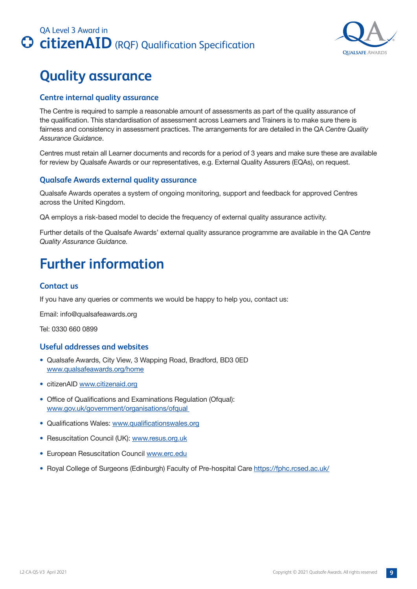<span id="page-8-0"></span>



### **Quality assurance**

#### **Centre internal quality assurance**

The Centre is required to sample a reasonable amount of assessments as part of the quality assurance of the qualification. This standardisation of assessment across Learners and Trainers is to make sure there is fairness and consistency in assessment practices. The arrangements for are detailed in the QA *Centre Quality Assurance Guidance*.

Centres must retain all Learner documents and records for a period of 3 years and make sure these are available for review by Qualsafe Awards or our representatives, e.g. External Quality Assurers (EQAs), on request.

#### **Qualsafe Awards external quality assurance**

Qualsafe Awards operates a system of ongoing monitoring, support and feedback for approved Centres across the United Kingdom.

QA employs a risk-based model to decide the frequency of external quality assurance activity.

Further details of the Qualsafe Awards' external quality assurance programme are available in the QA *Centre Quality Assurance Guidance.*

### **Further information**

#### **Contact us**

If you have any queries or comments we would be happy to help you, contact us:

Email: info@qualsafeawards.org

Tel: 0330 660 0899

#### **Useful addresses and websites**

- Qualsafe Awards, City View, 3 Wapping Road, Bradford, BD3 0ED www.qualsafeawards.org/home
- citizenAID www.citizenaid.org
- Office of Qualifications and Examinations Regulation (Ofqual): www.gov.uk/government/organisations/ofqual
- Qualifications Wales: www.qualificationswales.org
- Resuscitation Council (UK): www.resus.org.uk
- European Resuscitation Council www.erc.edu
- Royal College of Surgeons (Edinburgh) Faculty of Pre-hospital Care https://fphc.rcsed.ac.uk/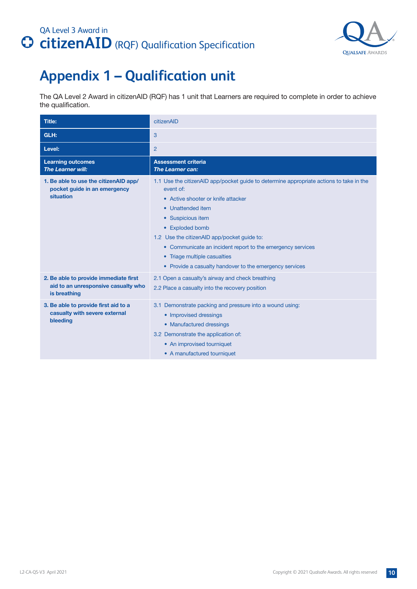

### <span id="page-9-0"></span>**Appendix 1 – Qualification unit**

The QA Level 2 Award in citizenAID (RQF) has 1 unit that Learners are required to complete in order to achieve the qualification.

| <b>Title:</b>                                                                                | citizenAID                                                                                                                                                                                                                                                                                                                                                                                                                  |
|----------------------------------------------------------------------------------------------|-----------------------------------------------------------------------------------------------------------------------------------------------------------------------------------------------------------------------------------------------------------------------------------------------------------------------------------------------------------------------------------------------------------------------------|
| GLH:                                                                                         | 3                                                                                                                                                                                                                                                                                                                                                                                                                           |
| Level:                                                                                       | $\overline{2}$                                                                                                                                                                                                                                                                                                                                                                                                              |
| <b>Learning outcomes</b><br><b>The Learner will:</b>                                         | <b>Assessment criteria</b><br><b>The Learner can:</b>                                                                                                                                                                                                                                                                                                                                                                       |
| 1. Be able to use the citizenAID app/<br>pocket guide in an emergency<br>situation           | 1.1 Use the citizen AID app/pocket guide to determine appropriate actions to take in the<br>event of:<br>• Active shooter or knife attacker<br>Unattended item<br>$\bullet$<br>• Suspicious item<br>• Exploded bomb<br>1.2 Use the citizenAID app/pocket guide to:<br>• Communicate an incident report to the emergency services<br>• Triage multiple casualties<br>• Provide a casualty handover to the emergency services |
| 2. Be able to provide immediate first<br>aid to an unresponsive casualty who<br>is breathing | 2.1 Open a casualty's airway and check breathing<br>2.2 Place a casualty into the recovery position                                                                                                                                                                                                                                                                                                                         |
| 3. Be able to provide first aid to a<br>casualty with severe external<br>bleeding            | 3.1 Demonstrate packing and pressure into a wound using:<br>• Improvised dressings<br>• Manufactured dressings<br>3.2 Demonstrate the application of:<br>• An improvised tourniquet<br>• A manufactured tourniquet                                                                                                                                                                                                          |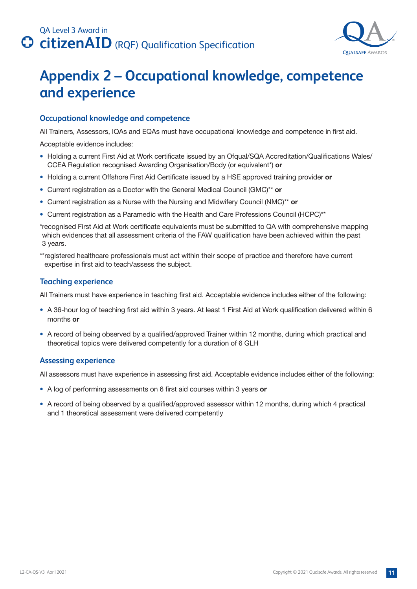

### <span id="page-10-0"></span>**Appendix 2 – Occupational knowledge, competence and experience**

#### **Occupational knowledge and competence**

All Trainers, Assessors, IQAs and EQAs must have occupational knowledge and competence in first aid.

Acceptable evidence includes:

- Holding a current First Aid at Work certificate issued by an Ofqual/SQA Accreditation/Qualifications Wales/ CCEA Regulation recognised Awarding Organisation/Body (or equivalent\*) **or**
- Holding a current Offshore First Aid Certificate issued by a HSE approved training provider **or**
- Current registration as a Doctor with the General Medical Council (GMC)\*\* **or**
- Current registration as a Nurse with the Nursing and Midwifery Council (NMC)\*\* **or**
- Current registration as a Paramedic with the Health and Care Professions Council (HCPC)\*\*

\*recognised First Aid at Work certificate equivalents must be submitted to QA with comprehensive mapping which evidences that all assessment criteria of the FAW qualification have been achieved within the past 3 years.

\*\*registered healthcare professionals must act within their scope of practice and therefore have current expertise in first aid to teach/assess the subject.

#### **Teaching experience**

All Trainers must have experience in teaching first aid. Acceptable evidence includes either of the following:

- A 36-hour log of teaching first aid within 3 years. At least 1 First Aid at Work qualification delivered within 6 months **or**
- A record of being observed by a qualified/approved Trainer within 12 months, during which practical and theoretical topics were delivered competently for a duration of 6 GLH

#### **Assessing experience**

All assessors must have experience in assessing first aid. Acceptable evidence includes either of the following:

- A log of performing assessments on 6 first aid courses within 3 years **or**
- A record of being observed by a qualified/approved assessor within 12 months, during which 4 practical and 1 theoretical assessment were delivered competently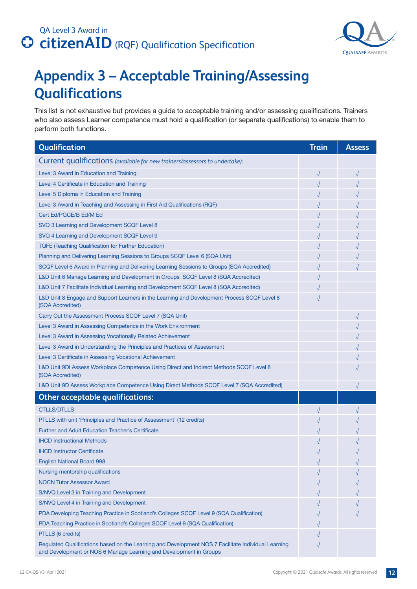

### <span id="page-11-0"></span>**Appendix 3 – Acceptable Training/Assessing Qualifications**

This list is not exhaustive but provides a guide to acceptable training and/or assessing qualifications. Trainers who also assess Learner competence must hold a qualification (or separate qualifications) to enable them to perform both functions.

| Qualification                                                                                                                                                             | <b>Train</b> | <b>Assess</b> |
|---------------------------------------------------------------------------------------------------------------------------------------------------------------------------|--------------|---------------|
| Current qualifications (available for new trainers/assessors to undertake):                                                                                               |              |               |
| Level 3 Award in Education and Training                                                                                                                                   | $\sqrt{}$    | $\sqrt{2}$    |
| Level 4 Certificate in Education and Training                                                                                                                             |              |               |
| Level 5 Diploma in Education and Training                                                                                                                                 |              |               |
| Level 3 Award in Teaching and Assessing in First Aid Qualifications (RQF)                                                                                                 |              |               |
| Cert Ed/PGCE/B Ed/M Ed                                                                                                                                                    |              |               |
| SVQ 3 Learning and Development SCQF Level 8                                                                                                                               |              |               |
| SVQ 4 Learning and Development SCQF Level 9                                                                                                                               |              |               |
| <b>TQFE (Teaching Qualification for Further Education)</b>                                                                                                                |              |               |
| Planning and Delivering Learning Sessions to Groups SCQF Level 6 (SQA Unit)                                                                                               |              |               |
| SCQF Level 6 Award in Planning and Delivering Learning Sessions to Groups (SQA Accredited)                                                                                |              |               |
| L&D Unit 6 Manage Learning and Development in Groups SCQF Level 8 (SQA Accredited)                                                                                        |              |               |
| L&D Unit 7 Facilitate Individual Learning and Development SCQF Level 8 (SQA Accredited)                                                                                   |              |               |
| L&D Unit 8 Engage and Support Learners in the Learning and Development Process SCQF Level 8<br>(SQA Accredited)                                                           |              |               |
| Carry Out the Assessment Process SCQF Level 7 (SQA Unit)                                                                                                                  |              |               |
| Level 3 Award in Assessing Competence in the Work Environment                                                                                                             |              |               |
| Level 3 Award in Assessing Vocationally Related Achievement                                                                                                               |              |               |
| Level 3 Award in Understanding the Principles and Practices of Assessment                                                                                                 |              |               |
| Level 3 Certificate in Assessing Vocational Achievement                                                                                                                   |              |               |
| L&D Unit 9DI Assess Workplace Competence Using Direct and Indirect Methods SCQF Level 8<br>(SQA Accredited)                                                               |              |               |
| L&D Unit 9D Assess Workplace Competence Using Direct Methods SCQF Level 7 (SQA Accredited)                                                                                |              |               |
| <b>Other acceptable qualifications:</b>                                                                                                                                   |              |               |
| <b>CTLLS/DTLLS</b>                                                                                                                                                        |              |               |
| PTLLS with unit 'Principles and Practice of Assessment' (12 credits)                                                                                                      |              |               |
| <b>Further and Adult Education Teacher's Certificate</b>                                                                                                                  |              |               |
| <b>IHCD Instructional Methods</b>                                                                                                                                         |              |               |
| <b>IHCD Instructor Certificate</b>                                                                                                                                        |              |               |
| <b>English National Board 998</b>                                                                                                                                         |              |               |
| Nursing mentorship qualifications                                                                                                                                         |              |               |
| <b>NOCN Tutor Assessor Award</b>                                                                                                                                          |              |               |
| S/NVQ Level 3 in Training and Development                                                                                                                                 |              |               |
| S/NVQ Level 4 in Training and Development                                                                                                                                 |              |               |
| PDA Developing Teaching Practice in Scotland's Colleges SCQF Level 9 (SQA Qualification)                                                                                  |              |               |
| PDA Teaching Practice in Scotland's Colleges SCQF Level 9 (SQA Qualification)                                                                                             |              |               |
| PTLLS (6 credits)                                                                                                                                                         |              |               |
| Regulated Qualifications based on the Learning and Development NOS 7 Facilitate Individual Learning<br>and Development or NOS 6 Manage Learning and Development in Groups |              |               |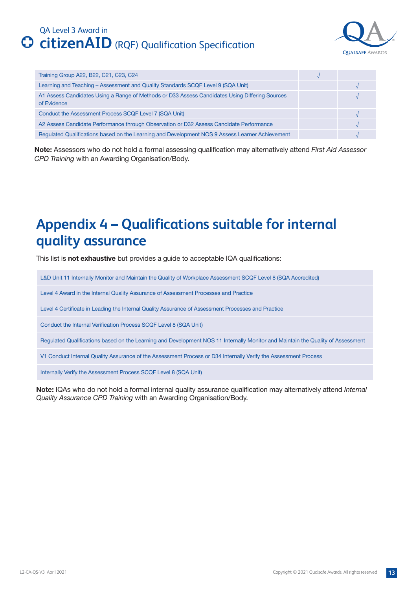

<span id="page-12-0"></span>

| Training Group A22, B22, C21, C23, C24                                                                        |  |
|---------------------------------------------------------------------------------------------------------------|--|
| Learning and Teaching - Assessment and Quality Standards SCQF Level 9 (SQA Unit)                              |  |
| A1 Assess Candidates Using a Range of Methods or D33 Assess Candidates Using Differing Sources<br>of Evidence |  |
| Conduct the Assessment Process SCQF Level 7 (SQA Unit)                                                        |  |
| A2 Assess Candidate Performance through Observation or D32 Assess Candidate Performance                       |  |
| Regulated Qualifications based on the Learning and Development NOS 9 Assess Learner Achievement               |  |

**Note:** Assessors who do not hold a formal assessing qualification may alternatively attend *First Aid Assessor CPD Training* with an Awarding Organisation/Body.

### **Appendix 4 – Qualifications suitable for internal quality assurance**

This list is **not exhaustive** but provides a guide to acceptable IQA qualifications:

L&D Unit 11 Internally Monitor and Maintain the Quality of Workplace Assessment SCQF Level 8 (SQA Accredited)

Level 4 Award in the Internal Quality Assurance of Assessment Processes and Practice

Level 4 Certificate in Leading the Internal Quality Assurance of Assessment Processes and Practice

Conduct the Internal Verification Process SCQF Level 8 (SQA Unit)

Regulated Qualifications based on the Learning and Development NOS 11 Internally Monitor and Maintain the Quality of Assessment

V1 Conduct Internal Quality Assurance of the Assessment Process or D34 Internally Verify the Assessment Process

Internally Verify the Assessment Process SCQF Level 8 (SQA Unit)

**Note:** IQAs who do not hold a formal internal quality assurance qualification may alternatively attend *Internal Quality Assurance CPD Training* with an Awarding Organisation/Body.